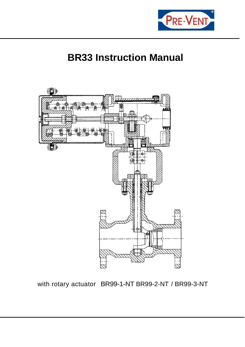

# **BR33 Instruction Manual**



## with rotary actuator BR99-1-NT BR99-2-NT / BR99-3-NT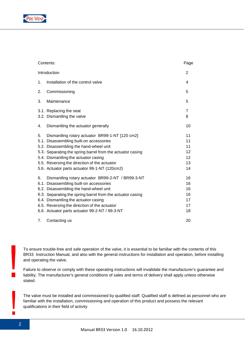

| Contents:    | Page                                                                                                                                                                                                                                                                                                                                           |                                        |
|--------------|------------------------------------------------------------------------------------------------------------------------------------------------------------------------------------------------------------------------------------------------------------------------------------------------------------------------------------------------|----------------------------------------|
| Introduction | 2                                                                                                                                                                                                                                                                                                                                              |                                        |
| 1.           | Installation of the control valve                                                                                                                                                                                                                                                                                                              | 4                                      |
| 2.           | Commissioning                                                                                                                                                                                                                                                                                                                                  | 5                                      |
| 3.           | Maintenance                                                                                                                                                                                                                                                                                                                                    | 5                                      |
|              | 3.1. Replacing the seat<br>3.2. Dismantling the valve                                                                                                                                                                                                                                                                                          | 7<br>8                                 |
| 4.           | Dismantling the actuator generally                                                                                                                                                                                                                                                                                                             | 10                                     |
| 5.           | Dismantling rotary actuator BR99-1-NT [120 cm2]<br>5.1. Disassembling built-on accessories<br>5.2. Disassembling the hand-wheel unit<br>5.3. Separating the spring barrel from the actuator casing<br>5.4. Dismantling the actuator casing<br>5.5. Reversing the direction of the actuator<br>5.6. Actuator parts actuator 99-1-NT (120cm2)    | 11<br>11<br>11<br>12<br>12<br>13<br>14 |
| 6.           | Dismantling rotary actuator BR99-2-NT / BR99-3-NT<br>6.1. Disassembling built-on accessories<br>6.2. Disassembling the hand-wheel unit<br>6.3. Separating the spring barrel from the actuator casing<br>6.4. Dismantling the actuator casing<br>6.5. Reversing the direction of the actuator<br>6.6. Actuator parts actuator 99-2-NT / 99-3-NT | 16<br>16<br>16<br>16<br>17<br>17<br>18 |
| 7.           | Contacting us                                                                                                                                                                                                                                                                                                                                  | 20                                     |

To ensure trouble-free and safe operation of the valve, it is essential to be familiar with the contents of this BR33 Instruction Manual, and also with the general instructions for installation and operation, before installing and operating the valve.

Failure to observe or comply with these operating instructions will invalidate the manufacturer's guarantee and liability. The manufacturer's general conditions of sales and terms of delivery shall apply unless otherwise stated.

The valve must be installed and commissioned by qualified staff. Qualified staff is defined as personnel who are familiar with the installation, commissioning and operation of this product and possess the relevant qualifications in their field of activity

 $\blacksquare$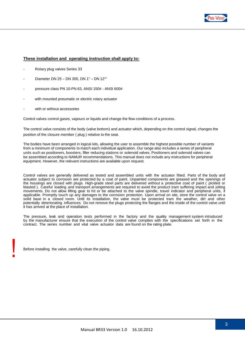

#### **These installation and operating instruction shall apply to:**

- Rotary plug valves Series 33
- Diameter DN 25 DN 300, DN 1" DN 12""
- pressure class PN 10-PN 63, ANSI 150# ANSI 600#
- with mounted pneumatic or electric rotary actuator
- with or without accessories

Control valves control gases, vapours or liquids and change the flow conditions of a process.

The control valve consists of the body (valve bottom) and actuator which, depending on the control signal, changes the position of the closure member ( plug ) relative to the seat.

The bodies have been arranged in logical kits, allowing the user to assemble the highest possible number of variants from a minimum of components to match each individual application. Our range also includes a series of peripheral units such as positioners, boosters, filter reducing stations or solenoid valves. Positioners and solenoid valves can be assembled according to NAMUR recommendations. This manual does not include any instructions for peripheral equipment. However, the relevant instructions are available upon request.

Control valves are generally delivered as tested and assembled units with the actuator fitted. Parts of the body and actuator subject to corrosion are protected by a coat of paint. Unpainted components are greased and the openings of the housings are closed with plugs. High-grade steel parts are delivered without a protective coat of paint ( pickled or blasted ). Careful loading and transport arrangements are required to avoid the product tram suffering impact and jolting movements. Do not allow lifting gear to hit or be attached to the valve spindle, travel indicator and peripheral units, if applicable. Promptly touch up any damages to the corrosion protection. Upon arrival on site, store the control valve on a solid base in a closed room. Until its installation, the valve must be protected tram the weather, dirt and other potentially deteriorating influences. Do not remove the plugs protecting the flanges and the inside of the control valve until it has arrived at the place of installation.

The pressure, leak and operation tests performed in the factory and the quality management system introduced by the manufacturer ensure that the execution of the control valve complies with the specifications set forth in the contract. The series number and vital valve actuator data are found on the rating plate.

Before installing the valve, carefully clean the piping.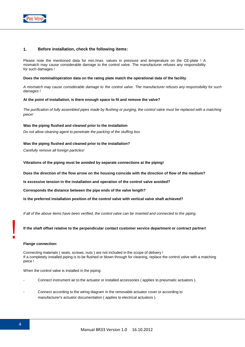

## **1. Before installation, check the following items:**

Please note the mentioned data for min./max. values in pressure and temperature on the CE-plate ! A mismatch may cause considerable damage to the control valve. The manufacturer refuses any responsibility for such damages !

#### **Does the nominal/operation data on the rating plate match the operational data of the facility**.

A mismatch may cause considerable damage to the control valve. The manufacturer refuses any responsibility for such damages !

#### **At the point of installation, is there enough space to fit and remove the valve?**

The purification of fully assembled pipes made by flushing or purging, the control valve must be replaced with a matching piece!

#### **Was the piping flushed and cleaned prior to the installation**

Do not allow cleaning agent to penetrate the packing of the stuffing box

## **Was the piping flushed and cleaned prior to the installation?**

Carefully remove all foreign particles!

**Vibrations of the piping must be avoided by separate connections at the piping!**

**Does the direction of the flow arrow on the housing coincide with the direction of flow of the medium?**

**Is excessive tension in the installation and operation of the control valve avoided?** 

**Corresponds the distance between the pipe ends of the valve length?** 

**Is the preferred installation position of the control valve with vertical valve shaft achieved?** 

If all of the above items have been verified, the control valve can be inserted and connected to the piping.

**If the shaft offset relative to the perpendicular contact customer service department or contract partner!** 

#### **Flange connection:**

Connecting materials ( seals, screws, nuts ) are not included in the scope of delivery ! If a completely installed piping is to be flushed or blown through for cleaning, replace the control valve with a matching piece !

When the control valve is installed in the piping:

- Connect instrument air to the actuator or installed accessories (applies to pneumatic actuators ).
- Connect according to the wiring diagram in the removable actuator cover or according to manufacturer's actuator documentation ( applies to electrical actuators ).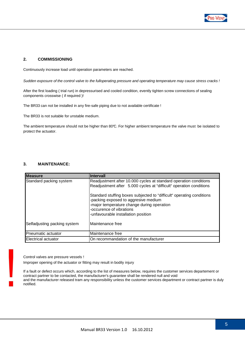

## **2. COMMISSIONING**

Continuously increase load until operation parameters are reached.

Sudden exposure of the control valve to the fulloperating pressure and operating temperature may cause stress cracks !

After the first loading ( trial run) in depressurised and cooled condition, evently tighten screw connections of sealing components crosswise ( if required )!

The BR33 can not be installed in any fire-safe piping due to not available certificate !

The BR33 is not suitable for unstable medium.

The ambient temperature should not be higher than 80°C. For higher ambient temperature the valve must be isolated to protect the actuator.

## **3. MAINTENANCE:**

| <b>IMeasure</b>              | Intervall                                                                                                                                                                                                         |
|------------------------------|-------------------------------------------------------------------------------------------------------------------------------------------------------------------------------------------------------------------|
| Standard packing system      | Readjustment after 10.000 cycles at standard operation conditions<br>Readjustment after 5.000 cycles at "difficult" operation conditions<br>Standard stuffing boxes subjected to "difficult" operating conditions |
|                              | -packing exposed to aggresive medium<br>-major temperature change during operation<br>-occurence of vibrations<br>-unfavourable installation position                                                             |
| Selfadjusting packing system | Maintenance free                                                                                                                                                                                                  |
| Pneumatic actuator           | Maintenance free                                                                                                                                                                                                  |
| Electrical actuator          | On recommandation of the manufacturer                                                                                                                                                                             |

Control valves are pressure vessels !

Improper opening of the actuator or fitting may result in bodily injury

If a fault or defect occurs which, according to the list of measures below, requires the customer services departement or contract partner to be contacted, the manufacturer's guarantee shall be rendered null and void and the manufacturer released tram any responsibility unless the customer services department or contract partner is duly notified.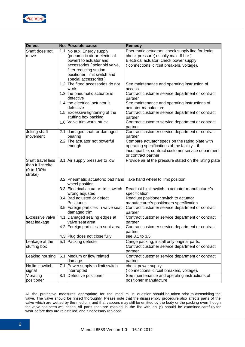

| <b>Defect</b>     | No. Possible cause                         | <b>Remedy</b>                                                       |
|-------------------|--------------------------------------------|---------------------------------------------------------------------|
| Shaft does not    | 1.1 No aux. Energy supply                  | Pneumatic actuators: check supply line for leaks;                   |
| move              | (pneumatic air or electrical               | check pressure( usually max. 6 bar)                                 |
|                   | power) to actuator and                     | Electrical actuator: check power supply                             |
|                   | accessories (solenoid valve,               | (connections, circuit breakers, voltage).                           |
|                   | filter reducing station,                   |                                                                     |
|                   | positioner, limit switch and               |                                                                     |
|                   | special accessories)                       |                                                                     |
|                   | 1.2 The fitted accessories do not<br>work  | See maintenance and operating instruction of<br>access.             |
|                   | 1.3 the pneumatic actuator is<br>defective | Contract customer service department or contract<br>partner         |
|                   | 1.4 the electrical actuator is             | See maintenance and operating instructions of                       |
|                   | defective                                  | actuator manufacture                                                |
|                   | 1.5 Excessive tightening of the            | Contract customer service department or contract                    |
|                   | stuffing box packing                       | partner                                                             |
|                   | 1.6 Valve trim worn, stuck                 | Contract customer service department or contract                    |
|                   |                                            | partner                                                             |
| Jolting shaft     | 2.1 damaged shaft or damaged               | Contract customer service department or contract                    |
| movement          | bearing                                    | partner                                                             |
|                   | 2.2 The actuator not powerful              | Compare actuator specs on the rating plate with                     |
|                   | enough                                     | operating specifications of the facility - if                       |
|                   |                                            | incompatible, contract customer service department                  |
|                   |                                            | or contract partner                                                 |
| Shaft travel less | 3.1 Air supply pressure to low             | Provide air at the pressure stated on the rating plate              |
| than full stroke  |                                            |                                                                     |
| (0 to 100%        |                                            |                                                                     |
| stroke)           |                                            | 3.2 Pneumatic actuators: bad hand Take hand wheel to limit position |
|                   | wheel position                             |                                                                     |
|                   | 3.3 Electrical actuator: limit switch      | Readjust Limit switch to actuator manufacturer's                    |
|                   | wrong adjusted                             | specification                                                       |
|                   | 3.4 Bad adjusted or defect                 | Readjust positioner switch to actuator                              |
|                   | Positioner                                 | manufacturer's positioners specification                            |
|                   | 3.5 Foreign particles in valve seat,       | Contract customer service department or contract                    |
|                   | damaged trim                               | partner                                                             |
| Excessive valve   | 4.1 Damaged sealing edges at               | Contract customer service department or contract                    |
| seat leakage      | valve seat area                            | partner                                                             |
|                   | 4.2 Foreign particles in seat area         | Contract customer service department or contract                    |
|                   |                                            | partner                                                             |
|                   | 4.3 Plug does not close fully              | see 3.1 to 3.5                                                      |
| Leakage at the    | 5.1 Packing defecte                        | Cange packing, install only original parts.                         |
| stuffing box      |                                            | Contract customer service department or contract                    |
|                   |                                            | partner                                                             |
| Leaking housing   | 6.1 Medium or flow related                 | Contract customer service department or contract                    |
|                   | damage                                     | partner                                                             |
| No limit switch   | 7.1 Power supply to limit switch           | check power supply                                                  |
| signal            | interrupted                                | (connections, circuit breakers, voltage).                           |
| Vibrating         | 8.1 Defective positioner                   | See maintenance and operating instructions of                       |
| positioner        |                                            | positioner manufacture                                              |

All the protective measures appropriate for the medium in question should be taken prior to assembling the valve. The valve should be rinsed thoroughly. Please note that the disassembly procedure also affects parts of the valve which are wetted by the medium, and that vapours may still be emitted by the body or the packing even though the valve has been well rinsed. All parts that are marked in the list with an (\*) should be examined carefully for wear before they are reinstalled, and if necessary replaced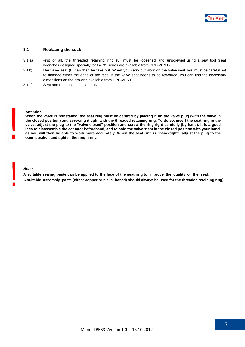

## **3.1 Replacing the seat:**

- 3.1.a) First of all, the threaded retaining ring (8) must be loosened and unscrewed using a seat tool (seat wrenches designed specially for the 33 series are available from PRE-VENT).
- 3.1.b) The valve seat (6) can then be take out. When you carry out work on the valve seat, you must be careful not to damage either the edge or the face. If the valve seat needs to be reworked, you can find the necessary dimensions on the drawing available from PRE-VENT.
- 3.1.c) Seat and retaining ring assembly

#### **Attention**

**When the valve is reinstalled, the seat ring must be centred by placing it on the valve plug (with the valve in the closed position) and screwing it tight with the threaded retaining ring. To do so, insert the seat ring in the valve, adjust the plug to the "valve closed" position and screw the ring tight carefully (by hand). It is a good idea to disassemble the actuator beforehand, and to hold the valve stem in the closed position with your hand, as you will then be able to work more accurately. When the seat ring is "hand-tight", adjust the plug to the open position and tighten the ring firmly.** 

#### **Note:**

**A suitable sealing paste can be applied to the face of the seat ring to improve the quality of the seal. A suitable assembly paste (either copper or nickel-based) should always be used for the threaded retaining ring).**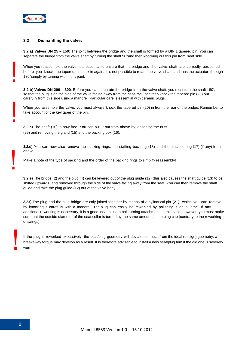

## **3.2 Dismantling the valve:**

**3.2.a) Valves DN 25 – 150**: The joint between the bridge and the shaft is formed by a DIN 1 tapered pin. You can separate the bridge from the valve shaft by turning the shaft 90° and then knocking out this pin from seat side.

When you reassemble the valve, it is essential to ensure that the bridge and the valve shaft are correctly positioned before you knock the tapered pin back in again. It is not possible to rotate the valve shaft, and thus the actuator, through 180° simply by turning within this joint.

**3.2.b**) **Valves DN 200 – 300**: Before you can separate the bridge from the valve shaft, you must turn the shaft 180°, so that the plug is on the side of the valve facing away from the seat. You can then knock the tapered pin (20) out carefully from this side using a mandrel. Particular care is essential with ceramic plugs.

When you assemble the valve, you must always knock the tapered pin (20) in from the rear of the bridge. Remember to take account of the key taper of the pin.

**3.2.c)** The shaft (10) is now free. You can pull it out from above by loosening the nuts (29) and removing the gland (15) and the packing box (16).

**3.2.d)** You can now also remove the packing rings, the staffing box ring (18) and the distance ring (17) (if any) from above.

Make a note of the type of packing and the order of the packing rings to simplify reassembly!

**3.2.e)** The bridge (2) and the plug (4) can be levered out of the plug guide (12) (this also causes the shaft guide (13) to be shifted upwards) and removed through the side of the valve facing away from the seat. You can then remove the shaft guide and take the plug guide (12) out of the valve body.

**3.2.f)** The plug and the plug bridge are only joined together by means of a cylindrical pin (21), which you can remove by knocking it carefully with a mandrel. The plug can easily be reworked by polishing it on a lathe. If any additional reworking is necessary, it is a good idea to use a ball turning attachment; in this case, however, you must make sure that the outside diameter of the seat collar is turned by the same amount as the plug cap (contrary to the reworking drawings).

If the plug is reworked excessively, the seat/plug geometry will deviate too much from the ideal (design) geometry; a breakaway torque may develop as a result. It is therefore advisable to install a new seat/plug trim if the old one is severely worn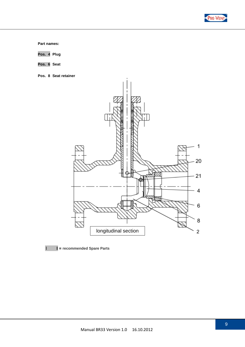

**Part names:**

**Pos. 4 Plug**

**Pos. 6 Seat** 

**Pos. 8 Seat retainer**



I **I = recommended Spare Parts**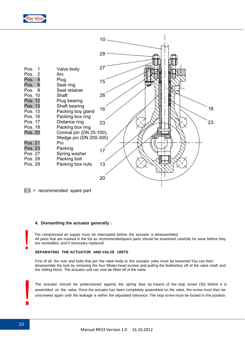



 $\vert$  = recommended spare part

## **4. Dismantling the actuator generally :**

 The compressed air supply must be interrupted before the actuator is disassembled. All parts that are marked in the list as recommendedspare parts should be examined carefully for wear before they are reinstalled, and if necessary replaced!

#### **SEPARATING THE ACTUATOR AND VALVE UNITS**

First of all, the nuts and bolts that join the valve body to the actuator yoke must be loosened.You can then disassemble the lock by removing the four fillister-head screws and pulling the featherkey off of the valve shaft and the sliding block. The actuator unit can now be lifted off of the valve.

The actuator should be pretensioned against the spring bias by means of the stop screw (35) before it is assembled on the valve. Once the actuator has been completely assembled on the valve, the screw must then be unscrewed again until the leakage is within the stipulated tolerance. The stop screw must be locked in this position.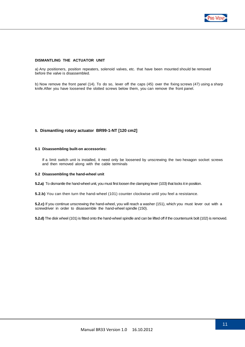

#### **DISMANTLING THE ACTUATOR UNIT**

a) Any positioners, position repeaters, solenoid valves, etc. that have been mounted should be removed before the valve is disassembled.

b) Now remove the front panel (14). To do so, lever off the caps (45) over the fixing screws (47) using a sharp knife.After you have loosened the slotted screws below them, you can remove the front panel.

#### **5. Dismantling rotary actuator BR99-1-NT [120 cm2]**

#### **5.1 Disassembling built-on accessories:**

If a limit switch unit is installed, it need only be loosened by unscrewing the two hexagon socket screws and then removed along with the cable terminals

#### **5.2 Disassembling the hand-wheel unit**

**5.2.a)** To dismantle the hand-wheel unit, you must first loosen the clamping lever (103) that locks it in position.

**5.2.b)** You can then turn the hand-wheel (101) counter clockwise until you feel a resistance.

**5.2.c)** If you continue unscrewing the hand-wheel, you will reach a washer (151), which you must lever out with a screwdriver in order to disassemble the hand-wheel spindle (150).

**5.2.d)** The disk wheel (101) is fitted onto the hand-wheel spindle and can be lifted off if the countersunk bolt (102) is removed.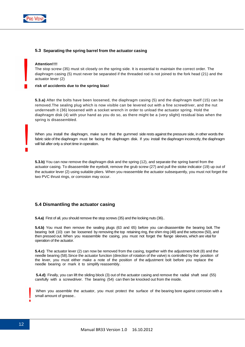

## **5.3 Separating the spring barrel from the actuator casing**

#### **Attention!!!!**

The stop screw (35) must sit closely on the spring side. It is essential to maintain the correct order. The diaphragm casing (5) must never be separated if the threaded rod is not joined to the fork head (21) and the actuator lever (2)

#### **risk of accidents due to the spring bias!**

**5.3.a)** After the bolts have been loosened, the diaphragm casing (5) and the diaphragm itself (15) can be removed.The sealing plug which is now visible can be levered out with a fine screwdriver, and the nut underneath it (36) loosened with a socket wrench in order to unload the actuator spring. Hold the diaphragm disk (4) with your hand as you do so, as there might be a (very slight) residual bias when the spring is disassembled.

When you install the diaphragm, make sure that the gummed side rests against the pressure side, in other words the fabric side of the diaphragm must be facing the diaphragm disk. If you install the diaphragm incorrectly, the diaphragm will fail after only a short time in operation.

**5.3.b)** You can now remove the diaphragm disk and the spring (12), and separate the spring barrel from the actuator casing. To disassemble the eyebolt, remove the grub screw (27) and pull the stoke indicator (19) up out of the actuator lever (2) using suitable pliers. When you reassemble the actuator subsequently, you must not forget the two PVC thrust rings, or corrosion may occur.

## **5.4 Dismantling the actuator casing**

**5.4.a)** First of all, you should remove the stop screws (35) and the locking nuts (36)..

**5.4.b)** You must then remove the sealing plugs (63 and 65) before you can disassemble the bearing bolt. The bearing bolt (10) can be loosened by removing the top retaining ring, the shim ring (48) and the setscrew (50), and then pressed out. When you reassemble the casing, you must not forget the flange sleeves, which are vital for operation of the actuator.

**5.4.c)** The actuator lever (2) can now be removed from the casing, together with the adjustment bolt (8) and the needle bearing (58).Since the actuator function (direction of rotation of the valve) is controlled by the position of the lever, you must either make a note of the position of the adjustment bolt before you replace the needle bearing or mark it to simplify reassembly.

 **5.4.d)** Finally, you can lift the sliding block (3) out of the actuator casing and remove the radial shaft seal (55) carefully with a screwdriver. The bearing (54) can then be knocked out from the inside.

When you assemble the actuator, you must protect the surface of the bearing bore against corrosion with a small amount of grease..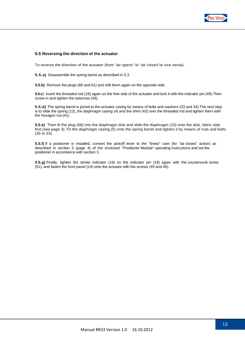

## **5.5 Reversing the direction of the actuator**

To reverse the direction of the actuator (from "air opens" to "air closes"or vice versa):

**5.5.a)** Disassemble the spring barrel as described in 5.3

**5.5.b)** Remove the plugs (60 and 61) and refit them again on the opposite side.

**5.5.c**) Insert the threaded rod (16) again on the free side of the actuator and lock it with the indicator pin (49).Then screw in and tighten the setscrew (49).

**5.5.d)** The spring barrel is joined to the actuator casing by means of bolts and washers (33 and 34).The next step is to slide the spring (12), the diaphragm casing (4) and the shim (43) over the threaded rod and tighten them with the hexagon nut (41).

**5.5.e)** Then fit the plug (66) into the diaphragm disk and slide the diaphragm (15) onto the disk, fabric side first (see page 3). Fit the diaphragm casing (5) onto the spring barrel and tighten it by means of nuts and bolts (30 to 33).

**5.5.f)** If a positioner is installed, convert the pickoff lever to the "linear" cam (for "air closes" action) as described in section 5 (page 4) of the enclosed "Positioner Module" operating instructions and set the positioner in accordance with section 3.

**5.5.g)** Finally, tighten the stroke indicator (19) on the indicator pin (18) again with the countersunk screw (51), and fasten the front panel (14) onto the actuator with the screws (45 and 46).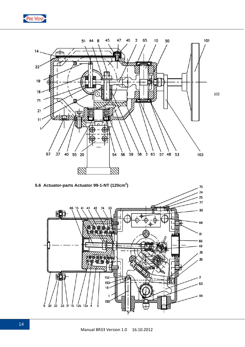

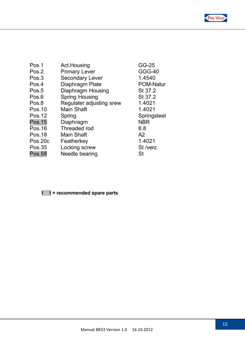

| Pos.1   | Act.Housing              | GG-25       |
|---------|--------------------------|-------------|
| Pos.2   | Primary Lever            | GGG-40      |
| Pos.3   | Secondary Lever          | 1.4540      |
| Pos.4   | Diaphragm Plate          | POM-Natur   |
| Pos.5   | Diaphragm Housing        | St 37.2     |
| Pos.6   | Spring Housing           | St 37.2     |
| Pos.8   | Regulater adjusting srew | 1.4021      |
| Pos.10  | Main Shaft               | 1.4021      |
| Pos.12  | Spring                   | Springsteel |
| Pos.15  | Diaphragm                | <b>NBR</b>  |
| Pos.16  | Threaded rod             | 8.8         |
| Pos.18  | Main Shaft               | A2          |
| Pos.20c | Featherkey               | 1.4021      |
| Pos.35  | Locking screw            | St /verz.   |
| Pos.58  | Needle bearing           | St          |

## I I = recommended spare parts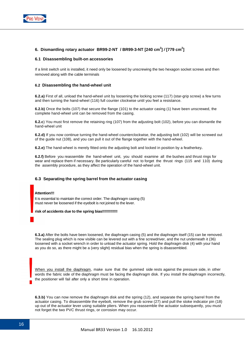

## **6. Dismantling rotary actuator BR99-2-NT / BR99-3-NT [240 cm<sup>2</sup> ] / [779 cm<sup>2</sup> ]**

### **6.1 Disassembling built-on accessories**

If a limit switch unit is installed, it need only be loosened by unscrewing the two hexagon socket screws and then removed along with the cable terminals

#### **6.2 Disassembling the hand-wheel unit**

**6.2.a)** First of all, unload the hand-wheel unit by loosening the locking screw (117) (star-grip screw) a few turns and then turning the hand-wheel (116) full counter clockwise until you feel a resistance.

**6.2.b)** Once the bolts (107) that secure the flange (101) to the actuator casing (1) have been unscrewed, the complete hand-wheel unit can be removed from the casing.

**6.2.c**) You must first remove the retaining ring (107) from the adjusting bolt (102), before you can dismantle the hand-wheel unit

**6.2.d)** If you now continue turning the hand-wheel counterclockwise, the adjusting bolt (102) will be screwed out of the guide nut (108), and you can pull it out of the flange together with the hand-wheel.

**6.2.e)** The hand-wheel is merely fitted onto the adjusting bolt and locked in position by a featherkey**.** 

**6.2.f)** Before you reassemble the hand-wheel unit, you should examine all the bushes and thrust rings for wear and replace them if necessary. Be particularly careful not to forget the thrust rings (115 and 110) during the assembly procedure, as they affect the operation of the hand-wheel unit.

## **6.3 Separating the spring barrel from the actuator casing**

#### **Attention!!!**

It is essential to maintain the correct order. The diaphragm casing (5) must never be loosened if the eyebolt is not joined to the lever.

#### **risk of accidents due to the spring bias!!!!!!!!!!!!!**

**6.3.a)** After the bolts have been loosened, the diaphragm casing (5) and the diaphragm itself (15) can be removed. The sealing plug which is now visible can be levered out with a fine screwdriver, and the nut underneath it (36) loosened with a socket wrench in order to unload the actuator spring. Hold the diaphragm disk (4) with your hand as you do so, as there might be a (very slight) residual bias when the spring is disassembled.

When you install the diaphragm, make sure that the gummed side rests against the pressure side, in other words the fabric side of the diaphragm must be facing the diaphragm disk. If you install the diaphragm incorrectly, the positioner will fail after only a short time in operation.

**6.3.b)** You can now remove the diaphragm disk and the spring (12), and separate the spring barrel from the actuator casing. To disassemble the eyebolt, remove the grub screw (27) and pull the stoke indicator pin (18) up out of the actuator lever using suitable pliers. When you reassemble the actuator subsequently, you must not forget the two PVC thrust rings, or corrosion may occur.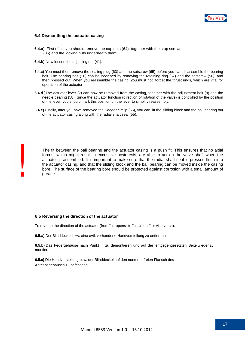

## **6.4 Dismantling the actuator casing**

- **6.4.a**) First of all, you should remove the cap nuts (64), together with the stop screws (35) and the locking nuts underneath them.
- **6.4.b)** Now loosen the adjusting nut (41).
- **6.4.c)** You must then remove the sealing plug (63) and the setscrew (65) before you can disassemble the bearing bolt. The bearing bolt (10) can be loosened by removing the retaining ring (57) and the setscrew (50), and then pressed out. When you reassemble the casing, you must not forget the thrust rings, which are vital for operation of the actuator.
- **6.4.d )**The actuator lever (2) can now be removed from the casing, together with the adjustment bolt (8) and the needle bearing (58). Since the actuator function (direction of rotation of the valve) is controlled by the position of the lever, you should mark this position on the lever to simplify reassembly.
- **6.4.e)** Finally, after you have removed the Seeger circlip (56), you can lift the sliding block and the ball bearing out of the actuator casing along with the radial shaft seal (55).

 The fit between the ball bearing and the actuator casing is a push fit. This ensures that no axial forces, which might result in excessive hysteresis, are able to act on the valve shaft when the actuator is assembled. It is important to make sure that the radial shaft seal is pressed flush into the actuator casing, and that the sliding block and the ball bearing can be moved inside the casing bore. The surface of the bearing bore should be protected against corrosion with a small amount of grease.

#### **6.5 Reversing the direction of the actuator**

To reverse the direction of the actuator (from "air opens" to "air closes" or vice versa):

**6.5.a)** Der Blinddeckel bzw. eine evtl. vorhandene Handverstellung zu entfernen.

**6.5.b)** Das Federgehäuse nach Punkt III zu demontieren und auf der entgegengesetzten Seite wieder zu montieren.

**6.5.c)** Die Handverstellung bzw. der Blinddeckel auf den nunmehr freien Flansch des Antriebsgehäuses zu befestigen.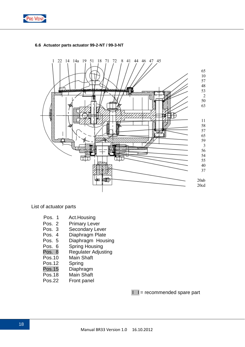



## **6.6 Actuator parts actuator 99-2-NT / 99-3-NT**

List of actuator parts

- Pos. 1 Act.Housing
- Pos. 2 Primary Lever
- Pos. 3 Secondary Lever
- Pos. 4 Diaphragm Plate<br>Pos. 5 Diaphragm Hous
- Pos. 5 Diaphragm Housing<br>Pos. 6 Spring Housing
- Pos. 6 Spring Housing<br>Pos. 8 Regulater Adius
- **Regulater Adjusting**
- Pos.10 Main Shaft
- Pos.12 Spring
- Pos.15 Diaphragm
- Pos.18 Main Shaft
- Pos.22 Front panel

 $I =$  recommended spare part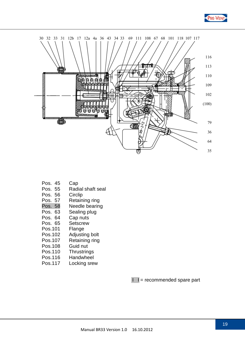



- Pos. 45 Cap
- Pos. 55 Radial shaft seal
- Pos. 56 Circlip
- 
- Pos. 57 Retaining ring<br>Pos. 58 Needle bearin Needle bearing
- Pos. 63 Sealing plug
- Pos. 64 Cap nuts
- Pos. 65 Setscrew
- Pos.101 Flange
- Pos.102 Adjusting bolt
- Pos.107 Retaining ring
- Pos.108 Guid nut
- Pos.110 Thrustrings
- Pos.116 Handwheel
- Pos.117 Locking srew

 $I =$  recommended spare part